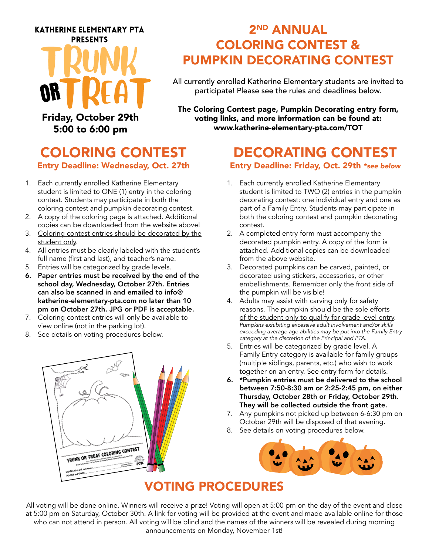#### **KATHERINE ELEMENTARY PTA PRESENTS**

Friday, October 29th 5:00 to 6:00 pm

# 2ND ANNUAL COLORING CONTEST & PUMPKIN DECORATING CONTEST

All currently enrolled Katherine Elementary students are invited to participate! Please see the rules and deadlines below.

The Coloring Contest page, Pumpkin Decorating entry form, voting links, and more information can be found at: www.katherine-elementary-pta.com/TOT

## COLORING CONTEST Entry Deadline: Wednesday, Oct. 27th

- 1. Each currently enrolled Katherine Elementary student is limited to ONE (1) entry in the coloring contest. Students may participate in both the coloring contest and pumpkin decorating contest.
- 2. A copy of the coloring page is attached. Additional copies can be downloaded from the website above!
- 3. Coloring contest entries should be decorated by the student only.
- 4. All entries must be clearly labeled with the student's full name (first and last), and teacher's name.
- 5. Entries will be categorized by grade levels.
- 6. Paper entries must be received by the end of the school day, Wednesday, October 27th. Entries can also be scanned in and emailed to info@ katherine-elementary-pta.com no later than 10 pm on October 27th. JPG or PDF is acceptable.
- 7. Coloring contest entries will only be available to view online (not in the parking lot).
- 8. See details on voting procedures below.



# DECORATING CONTEST

#### Entry Deadline: Friday, Oct. 29th *\*see below*

- 1. Each currently enrolled Katherine Elementary student is limited to TWO (2) entries in the pumpkin decorating contest: one individual entry and one as part of a Family Entry. Students may participate in both the coloring contest and pumpkin decorating contest.
- 2. A completed entry form must accompany the decorated pumpkin entry. A copy of the form is attached. Additional copies can be downloaded from the above website.
- 3. Decorated pumpkins can be carved, painted, or decorated using stickers, accessories, or other embellishments. Remember only the front side of the pumpkin will be visible!
- 4. Adults may assist with carving only for safety reasons. The pumpkin should be the sole efforts of the student only to qualify for grade level entry. *Pumpkins exhibiting excessive adult involvement and/or skills exceeding average age abilities may be put into the Family Entry category at the discretion of the Principal and PTA.*
- 5. Entries will be categorized by grade level. A Family Entry category is available for family groups (multiple siblings, parents, etc.) who wish to work together on an entry. See entry form for details.
- 6. \*Pumpkin entries must be delivered to the school between 7:50-8:30 am or 2:25-2:45 pm, on either Thursday, October 28th or Friday, October 29th. They will be collected outside the front gate.
- 7. Any pumpkins not picked up between 6-6:30 pm on October 29th will be disposed of that evening.
- 8. See details on voting procedures below.



### VOTING PROCEDURES

All voting will be done online. Winners will receive a prize! Voting will open at 5:00 pm on the day of the event and close at 5:00 pm on Saturday, October 30th. A link for voting will be provided at the event and made available online for those who can not attend in person. All voting will be blind and the names of the winners will be revealed during morning announcements on Monday, November 1st!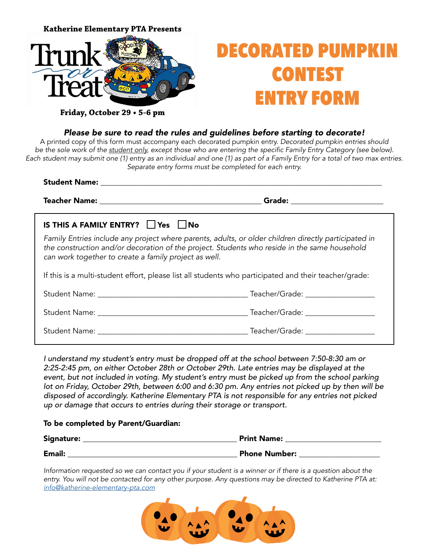

**Friday, October 29 • 5-6 pm**

#### *Please be sure to read the rules and guidelines before starting to decorate!*

A printed copy of this form must accompany each decorated pumpkin entry. *Decorated pumpkin entries should be the sole work of the student only*, except those who are entering the specific Family Entry Category (see below). Each student may submit one (1) entry as an individual and one (1) as part of a Family Entry for a total of two max entries. *Separate entry forms must be completed for each entry.*

| IS THIS A FAMILY ENTRY? Yes No                                                                                                                                                                                                                                |  |
|---------------------------------------------------------------------------------------------------------------------------------------------------------------------------------------------------------------------------------------------------------------|--|
| Family Entries include any project where parents, adults, or older children directly participated in<br>the construction and/or decoration of the project. Students who reside in the same household<br>can work together to create a family project as well. |  |
| If this is a multi-student effort, please list all students who participated and their teacher/grade:                                                                                                                                                         |  |
|                                                                                                                                                                                                                                                               |  |
|                                                                                                                                                                                                                                                               |  |
| Student Name: Teacher/Grade:                                                                                                                                                                                                                                  |  |

*I understand my student's entry must be dropped off at the school between 7:50-8:30 am or 2:25-2:45 pm, on either October 28th or October 29th. Late entries may be displayed at the*  event, but not included in voting. My student's entry must be picked up from the school parking *lot on Friday, October 29th, between 6:00 and 6:30 pm. Any entries not picked up by then will be disposed of accordingly. Katherine Elementary PTA is not responsible for any entries not picked up or damage that occurs to entries during their storage or transport.*

#### To be completed by Parent/Guardian:

| Signature:    | <b>Print Name:</b>   |
|---------------|----------------------|
| <b>Email:</b> | <b>Phone Number:</b> |

*Information requested so we can contact you if your student is a winner or if there is a question about the entry. You will not be contacted for any other purpose. Any questions may be directed to Katherine PTA at: [info@katherine-elementary-pta.com](mailto:info%40katherine-elementary-pta.com?subject=Holiday%20Build-Off%20Questions)*